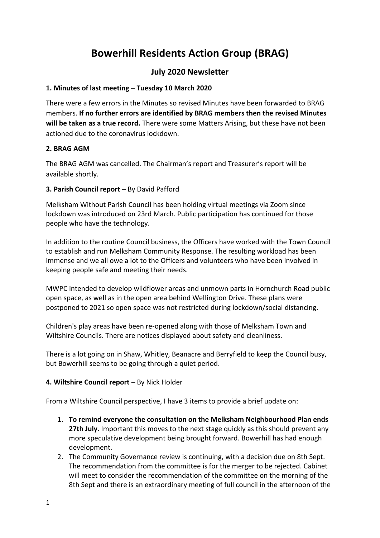# **Bowerhill Residents Action Group (BRAG)**

## **July 2020 Newsletter**

## **1. Minutes of last meeting – Tuesday 10 March 2020**

There were a few errors in the Minutes so revised Minutes have been forwarded to BRAG members. **If no further errors are identified by BRAG members then the revised Minutes will be taken as a true record.** There were some Matters Arising, but these have not been actioned due to the coronavirus lockdown.

## **2. BRAG AGM**

The BRAG AGM was cancelled. The Chairman's report and Treasurer's report will be available shortly.

## **3. Parish Council report** – By David Pafford

Melksham Without Parish Council has been holding virtual meetings via Zoom since lockdown was introduced on 23rd March. Public participation has continued for those people who have the technology.

In addition to the routine Council business, the Officers have worked with the Town Council to establish and run Melksham Community Response. The resulting workload has been immense and we all owe a lot to the Officers and volunteers who have been involved in keeping people safe and meeting their needs.

MWPC intended to develop wildflower areas and unmown parts in Hornchurch Road public open space, as well as in the open area behind Wellington Drive. These plans were postponed to 2021 so open space was not restricted during lockdown/social distancing.

Children's play areas have been re-opened along with those of Melksham Town and Wiltshire Councils. There are notices displayed about safety and cleanliness.

There is a lot going on in Shaw, Whitley, Beanacre and Berryfield to keep the Council busy, but Bowerhill seems to be going through a quiet period.

## **4. Wiltshire Council report** – By Nick Holder

From a Wiltshire Council perspective, I have 3 items to provide a brief update on:

- 1. **To remind everyone the consultation on the Melksham Neighbourhood Plan ends 27th July.** Important this moves to the next stage quickly as this should prevent any more speculative development being brought forward. Bowerhill has had enough development.
- 2. The Community Governance review is continuing, with a decision due on 8th Sept. The recommendation from the committee is for the merger to be rejected. Cabinet will meet to consider the recommendation of the committee on the morning of the 8th Sept and there is an extraordinary meeting of full council in the afternoon of the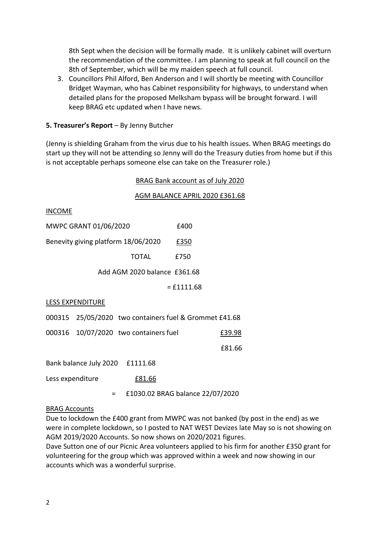8th Sept when the decision will be formally made. It is unlikely cabinet will overturn the recommendation of the committee. I am planning to speak at full council on the 8th of September, which will be my maiden speech at full council.

3. Councillors Phil Alford, Ben Anderson and I will shortly be meeting with Councillor Bridget Wayman, who has Cabinet responsibility for highways, to understand when detailed plans for the proposed Melksham bypass will be brought forward. I will keep BRAG etc updated when I have news.

### **5. Treasurer's Report** – By Jenny Butcher

(Jenny is shielding Graham from the virus due to his health issues. When BRAG meetings do start up they will not be attending so Jenny will do the Treasury duties from home but if this is not acceptable perhaps someone else can take on the Treasurer role.)

#### BRAG Bank account as of July 2020

#### AGM BALANCE APRIL 2020 £361.68

INCOME

| MWPC GRANT 01/06/2020               |   |                                                        | £400                             |        |
|-------------------------------------|---|--------------------------------------------------------|----------------------------------|--------|
| Benevity giving platform 18/06/2020 |   |                                                        | £350                             |        |
|                                     |   | TOTAL                                                  | £750                             |        |
|                                     |   | Add AGM 2020 balance £361.68                           |                                  |        |
|                                     |   |                                                        | $=$ £1111.68                     |        |
| LESS EXPENDITURE                    |   |                                                        |                                  |        |
|                                     |   | 000315 25/05/2020 two containers fuel & Grommet £41.68 |                                  |        |
|                                     |   | 000316 10/07/2020 two containers fuel                  |                                  | £39.98 |
|                                     |   |                                                        |                                  | £81.66 |
| Bank balance July 2020 £1111.68     |   |                                                        |                                  |        |
| Less expenditure                    |   | <u>£81.66</u>                                          |                                  |        |
|                                     | Ξ |                                                        | £1030.02 BRAG balance 22/07/2020 |        |

#### BRAG Accounts

Due to lockdown the £400 grant from MWPC was not banked (by post in the end) as we were in complete lockdown, so I posted to NAT WEST Devizes late May so is not showing on AGM 2019/2020 Accounts. So now shows on 2020/2021 figures.

Dave Sutton one of our Picnic Area volunteers applied to his firm for another £350 grant for volunteering for the group which was approved within a week and now showing in our accounts which was a wonderful surprise.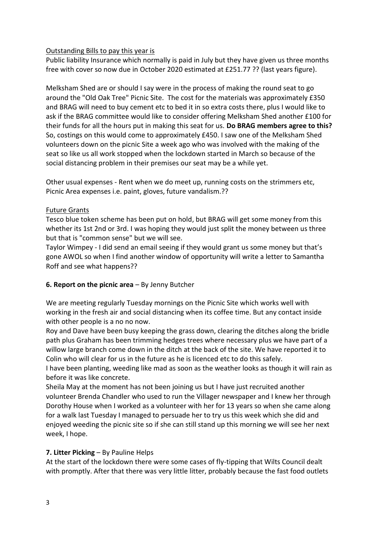## Outstanding Bills to pay this year is

Public liability Insurance which normally is paid in July but they have given us three months free with cover so now due in October 2020 estimated at £251.77 ?? (last years figure).

Melksham Shed are or should I say were in the process of making the round seat to go around the "Old Oak Tree" Picnic Site. The cost for the materials was approximately £350 and BRAG will need to buy cement etc to bed it in so extra costs there, plus I would like to ask if the BRAG committee would like to consider offering Melksham Shed another £100 for their funds for all the hours put in making this seat for us. **Do BRAG members agree to this?** So, costings on this would come to approximately £450. I saw one of the Melksham Shed volunteers down on the picnic Site a week ago who was involved with the making of the seat so like us all work stopped when the lockdown started in March so because of the social distancing problem in their premises our seat may be a while yet.

Other usual expenses - Rent when we do meet up, running costs on the strimmers etc, Picnic Area expenses i.e. paint, gloves, future vandalism.??

## Future Grants

Tesco blue token scheme has been put on hold, but BRAG will get some money from this whether its 1st 2nd or 3rd. I was hoping they would just split the money between us three but that is "common sense" but we will see.

Taylor Wimpey - I did send an email seeing if they would grant us some money but that's gone AWOL so when I find another window of opportunity will write a letter to Samantha Roff and see what happens??

## **6. Report on the picnic area** – By Jenny Butcher

We are meeting regularly Tuesday mornings on the Picnic Site which works well with working in the fresh air and social distancing when its coffee time. But any contact inside with other people is a no no now.

Roy and Dave have been busy keeping the grass down, clearing the ditches along the bridle path plus Graham has been trimming hedges trees where necessary plus we have part of a willow large branch come down in the ditch at the back of the site. We have reported it to Colin who will clear for us in the future as he is licenced etc to do this safely.

I have been planting, weeding like mad as soon as the weather looks as though it will rain as before it was like concrete.

Sheila May at the moment has not been joining us but I have just recruited another volunteer Brenda Chandler who used to run the Villager newspaper and I knew her through Dorothy House when I worked as a volunteer with her for 13 years so when she came along for a walk last Tuesday I managed to persuade her to try us this week which she did and enjoyed weeding the picnic site so if she can still stand up this morning we will see her next week, I hope.

## **7. Litter Picking** – By Pauline Helps

At the start of the lockdown there were some cases of fly-tipping that Wilts Council dealt with promptly. After that there was very little litter, probably because the fast food outlets